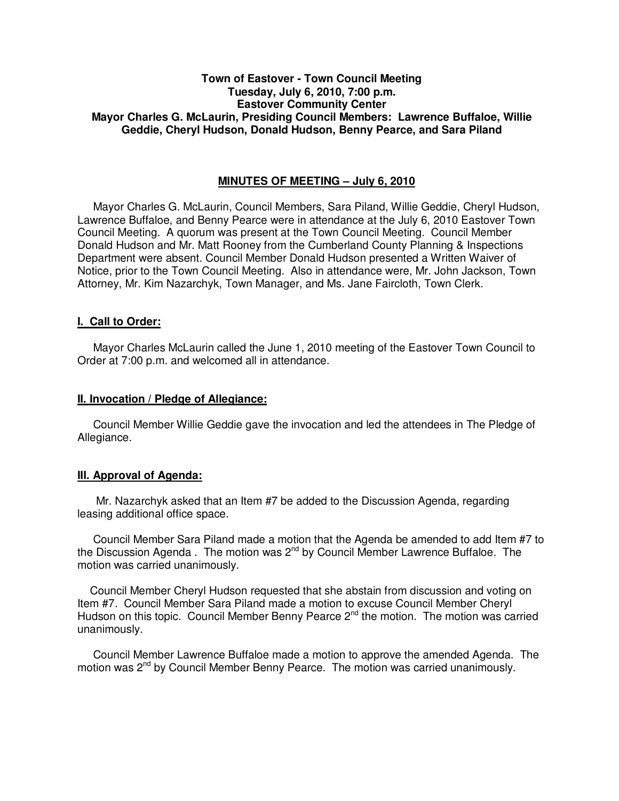# **Town of Eastover - Town Council Meeting Tuesday, July 6, 2010, 7:00 p.m. Eastover Community Center Mayor Charles G. McLaurin, Presiding Council Members: Lawrence Buffaloe, Willie Geddie, Cheryl Hudson, Donald Hudson, Benny Pearce, and Sara Piland**

## **MINUTES OF MEETING – July 6, 2010**

Mayor Charles G. McLaurin, Council Members, Sara Piland, Willie Geddie, Cheryl Hudson, Lawrence Buffaloe, and Benny Pearce were in attendance at the July 6, 2010 Eastover Town Council Meeting. A quorum was present at the Town Council Meeting. Council Member Donald Hudson and Mr. Matt Rooney from the Cumberland County Planning & Inspections Department were absent. Council Member Donald Hudson presented a Written Waiver of Notice, prior to the Town Council Meeting. Also in attendance were, Mr. John Jackson, Town Attorney, Mr. Kim Nazarchyk, Town Manager, and Ms. Jane Faircloth, Town Clerk.

#### **I. Call to Order:**

Mayor Charles McLaurin called the June 1, 2010 meeting of the Eastover Town Council to Order at 7:00 p.m. and welcomed all in attendance.

#### **II. Invocation / Pledge of Allegiance:**

 Council Member Willie Geddie gave the invocation and led the attendees in The Pledge of Allegiance.

#### **III. Approval of Agenda:**

 Mr. Nazarchyk asked that an Item #7 be added to the Discussion Agenda, regarding leasing additional office space.

 Council Member Sara Piland made a motion that the Agenda be amended to add Item #7 to the Discussion Agenda . The motion was  $2^{nd}$  by Council Member Lawrence Buffaloe. The motion was carried unanimously.

 Council Member Cheryl Hudson requested that she abstain from discussion and voting on Item #7. Council Member Sara Piland made a motion to excuse Council Member Cheryl Hudson on this topic. Council Member Benny Pearce  $2^{nd}$  the motion. The motion was carried unanimously.

 Council Member Lawrence Buffaloe made a motion to approve the amended Agenda. The motion was 2<sup>nd</sup> by Council Member Benny Pearce. The motion was carried unanimously.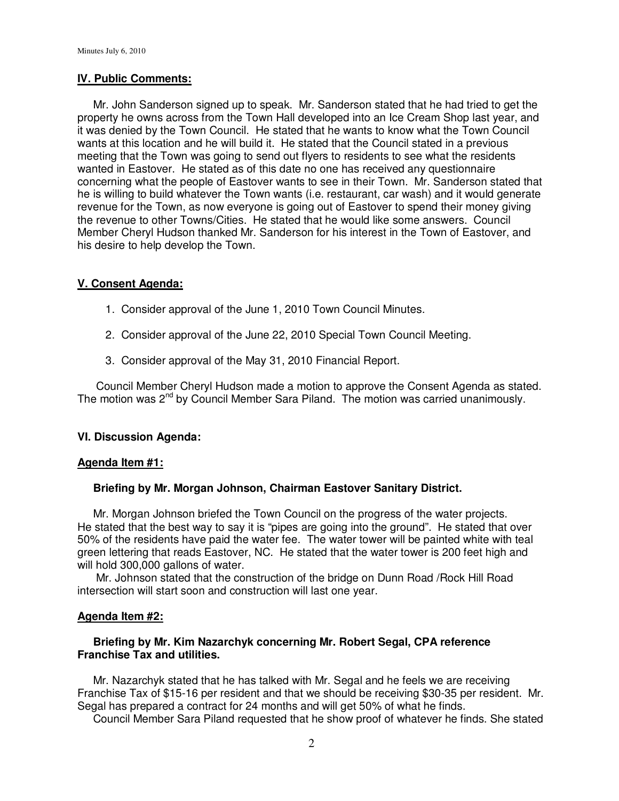#### **IV. Public Comments:**

 Mr. John Sanderson signed up to speak. Mr. Sanderson stated that he had tried to get the property he owns across from the Town Hall developed into an Ice Cream Shop last year, and it was denied by the Town Council. He stated that he wants to know what the Town Council wants at this location and he will build it. He stated that the Council stated in a previous meeting that the Town was going to send out flyers to residents to see what the residents wanted in Eastover. He stated as of this date no one has received any questionnaire concerning what the people of Eastover wants to see in their Town. Mr. Sanderson stated that he is willing to build whatever the Town wants (i.e. restaurant, car wash) and it would generate revenue for the Town, as now everyone is going out of Eastover to spend their money giving the revenue to other Towns/Cities. He stated that he would like some answers. Council Member Cheryl Hudson thanked Mr. Sanderson for his interest in the Town of Eastover, and his desire to help develop the Town.

# **V. Consent Agenda:**

- 1. Consider approval of the June 1, 2010 Town Council Minutes.
- 2. Consider approval of the June 22, 2010 Special Town Council Meeting.
- 3. Consider approval of the May 31, 2010 Financial Report.

 Council Member Cheryl Hudson made a motion to approve the Consent Agenda as stated. The motion was 2<sup>nd</sup> by Council Member Sara Piland. The motion was carried unanimously.

## **VI. Discussion Agenda:**

#### **Agenda Item #1:**

## **Briefing by Mr. Morgan Johnson, Chairman Eastover Sanitary District.**

 Mr. Morgan Johnson briefed the Town Council on the progress of the water projects. He stated that the best way to say it is "pipes are going into the ground". He stated that over 50% of the residents have paid the water fee. The water tower will be painted white with teal green lettering that reads Eastover, NC. He stated that the water tower is 200 feet high and will hold 300,000 gallons of water.

 Mr. Johnson stated that the construction of the bridge on Dunn Road /Rock Hill Road intersection will start soon and construction will last one year.

## **Agenda Item #2:**

## **Briefing by Mr. Kim Nazarchyk concerning Mr. Robert Segal, CPA reference Franchise Tax and utilities.**

 Mr. Nazarchyk stated that he has talked with Mr. Segal and he feels we are receiving Franchise Tax of \$15-16 per resident and that we should be receiving \$30-35 per resident. Mr. Segal has prepared a contract for 24 months and will get 50% of what he finds.

Council Member Sara Piland requested that he show proof of whatever he finds. She stated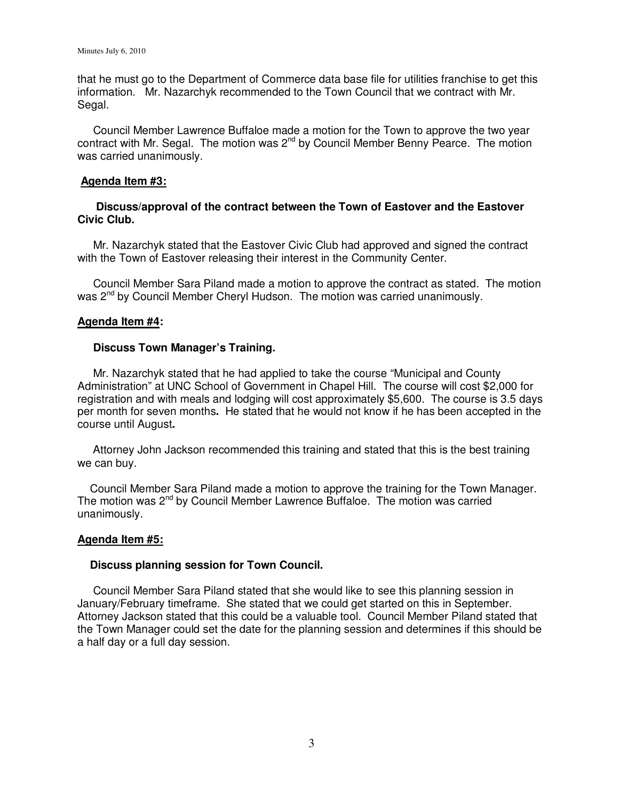that he must go to the Department of Commerce data base file for utilities franchise to get this information. Mr. Nazarchyk recommended to the Town Council that we contract with Mr. Segal.

 Council Member Lawrence Buffaloe made a motion for the Town to approve the two year contract with Mr. Segal. The motion was  $2^{nd}$  by Council Member Benny Pearce. The motion was carried unanimously.

#### **Agenda Item #3:**

# **Discuss/approval of the contract between the Town of Eastover and the Eastover Civic Club.**

 Mr. Nazarchyk stated that the Eastover Civic Club had approved and signed the contract with the Town of Eastover releasing their interest in the Community Center.

 Council Member Sara Piland made a motion to approve the contract as stated. The motion was 2<sup>nd</sup> by Council Member Cheryl Hudson. The motion was carried unanimously.

## **Agenda Item #4:**

#### **Discuss Town Manager's Training.**

Mr. Nazarchyk stated that he had applied to take the course "Municipal and County Administration" at UNC School of Government in Chapel Hill. The course will cost \$2,000 for registration and with meals and lodging will cost approximately \$5,600. The course is 3.5 days per month for seven months**.** He stated that he would not know if he has been accepted in the course until August**.** 

 Attorney John Jackson recommended this training and stated that this is the best training we can buy.

 Council Member Sara Piland made a motion to approve the training for the Town Manager. The motion was 2<sup>nd</sup> by Council Member Lawrence Buffaloe. The motion was carried unanimously.

#### **Agenda Item #5:**

#### **Discuss planning session for Town Council.**

Council Member Sara Piland stated that she would like to see this planning session in January/February timeframe. She stated that we could get started on this in September. Attorney Jackson stated that this could be a valuable tool. Council Member Piland stated that the Town Manager could set the date for the planning session and determines if this should be a half day or a full day session.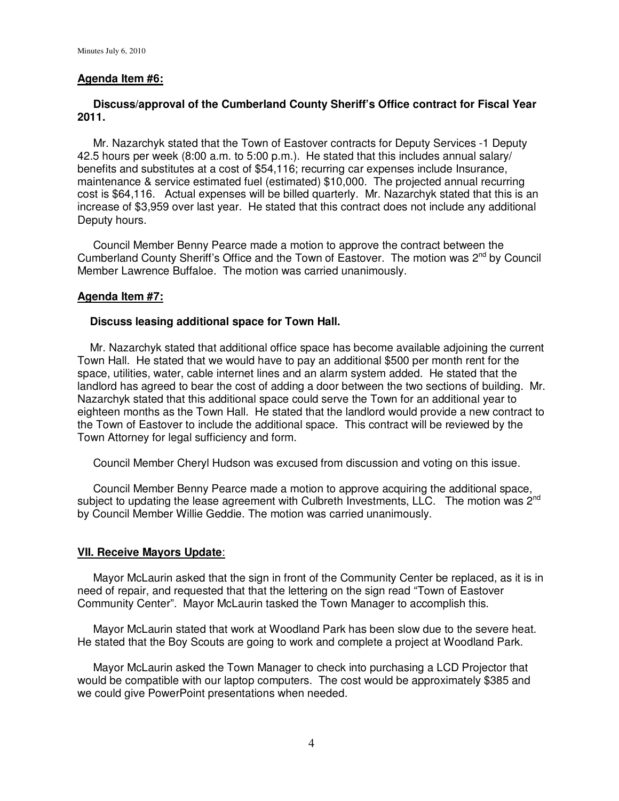# **Agenda Item #6:**

# **Discuss/approval of the Cumberland County Sheriff's Office contract for Fiscal Year 2011.**

 Mr. Nazarchyk stated that the Town of Eastover contracts for Deputy Services -1 Deputy 42.5 hours per week (8:00 a.m. to 5:00 p.m.). He stated that this includes annual salary/ benefits and substitutes at a cost of \$54,116; recurring car expenses include Insurance, maintenance & service estimated fuel (estimated) \$10,000. The projected annual recurring cost is \$64,116. Actual expenses will be billed quarterly. Mr. Nazarchyk stated that this is an increase of \$3,959 over last year. He stated that this contract does not include any additional Deputy hours.

 Council Member Benny Pearce made a motion to approve the contract between the Cumberland County Sheriff's Office and the Town of Eastover. The motion was 2<sup>nd</sup> by Council Member Lawrence Buffaloe. The motion was carried unanimously.

## **Agenda Item #7:**

#### **Discuss leasing additional space for Town Hall.**

Mr. Nazarchyk stated that additional office space has become available adjoining the current Town Hall. He stated that we would have to pay an additional \$500 per month rent for the space, utilities, water, cable internet lines and an alarm system added. He stated that the landlord has agreed to bear the cost of adding a door between the two sections of building. Mr. Nazarchyk stated that this additional space could serve the Town for an additional year to eighteen months as the Town Hall. He stated that the landlord would provide a new contract to the Town of Eastover to include the additional space. This contract will be reviewed by the Town Attorney for legal sufficiency and form.

Council Member Cheryl Hudson was excused from discussion and voting on this issue.

 Council Member Benny Pearce made a motion to approve acquiring the additional space, subject to updating the lease agreement with Culbreth Investments, LLC. The motion was 2<sup>nd</sup> by Council Member Willie Geddie. The motion was carried unanimously.

#### **VII. Receive Mayors Update**:

 Mayor McLaurin asked that the sign in front of the Community Center be replaced, as it is in need of repair, and requested that that the lettering on the sign read "Town of Eastover Community Center". Mayor McLaurin tasked the Town Manager to accomplish this.

 Mayor McLaurin stated that work at Woodland Park has been slow due to the severe heat. He stated that the Boy Scouts are going to work and complete a project at Woodland Park.

 Mayor McLaurin asked the Town Manager to check into purchasing a LCD Projector that would be compatible with our laptop computers. The cost would be approximately \$385 and we could give PowerPoint presentations when needed.